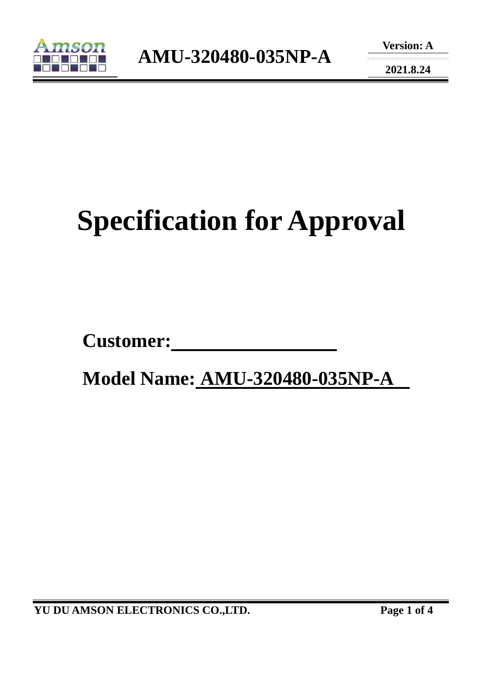

**Version: A** 

**2021.8.24** 

# **Specification for Approval**

Customer:

 **Model Name: AMU-320480-035NP-A** 

**YU DU AMSON ELECTRONICS CO.,LTD. Page 1 of 4**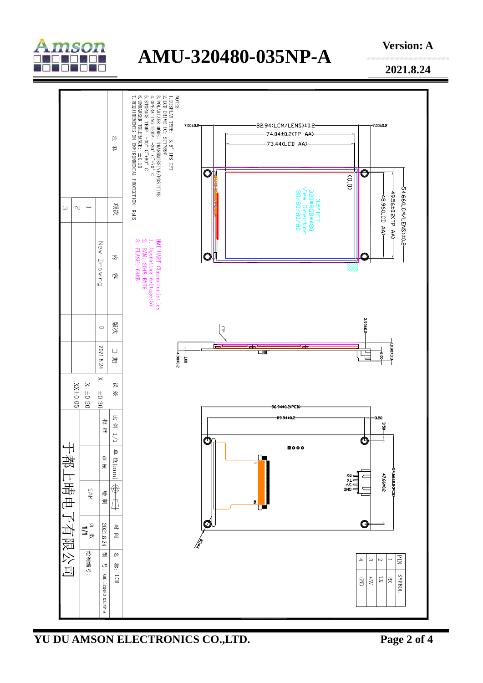

## **AMU-320480-035NP-A**

**Version: A** 

**2021.8.24** 



**YU DU AMSON ELECTRONICS CO.,LTD. Page 2 of 4**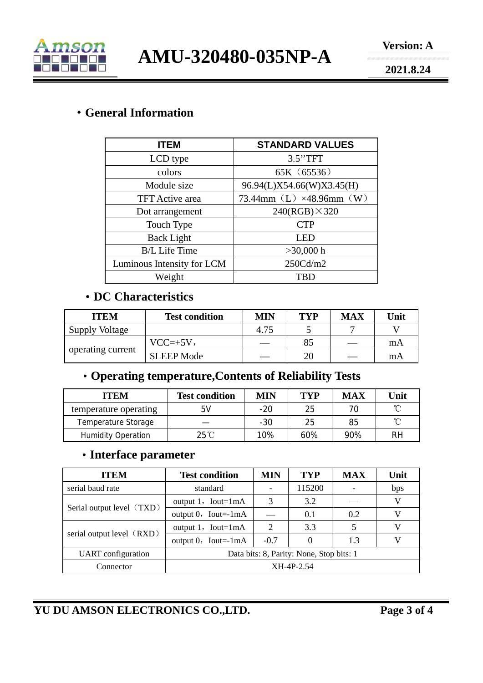

**AMU-320480-035NP-A** 

**2021.8.24** 

#### ·**General Information**

| <b>ITEM</b>                | <b>STANDARD VALUES</b>    |  |  |  |
|----------------------------|---------------------------|--|--|--|
| LCD type                   | 3.5"TFT                   |  |  |  |
| colors                     | 65K (65536)               |  |  |  |
| Module size                | 96.94(L)X54.66(W)X3.45(H) |  |  |  |
| <b>TFT</b> Active area     | 73.44mm (L) ×48.96mm (W)  |  |  |  |
| Dot arrangement            | $240(RGB) \times 320$     |  |  |  |
| Touch Type                 | <b>CTP</b>                |  |  |  |
| <b>Back Light</b>          | LED                       |  |  |  |
| <b>B/L Life Time</b>       | $>30,000$ h               |  |  |  |
| Luminous Intensity for LCM | 250 <sub>cd</sub> /m2     |  |  |  |
| Weight                     | <b>TBD</b>                |  |  |  |

#### ·**DC Characteristics**

| <b>ITEM</b>           | <b>Test condition</b> | MIN  | TVP | <b>MAX</b> | Unit |
|-----------------------|-----------------------|------|-----|------------|------|
| <b>Supply Voltage</b> |                       | 4.75 |     |            |      |
| operating current     | $VCC=+5V,$            |      | 85  |            | mA   |
|                       | <b>SLEEP Mode</b>     |      | 20  |            | mA   |

### ·**Operating temperature,Contents of Reliability Tests**

| <b>ITEM</b>               | <b>Test condition</b> | <b>MIN</b> | TYP | <b>MAX</b> | Unit |
|---------------------------|-----------------------|------------|-----|------------|------|
| temperature operating     | 5V                    | $-20$      | 25  |            | ≧    |
| Temperature Storage       |                       | $-30$      | 25  | 85         | ∽    |
| <b>Humidity Operation</b> | $25^{\circ}$ C        | 10%        | 60% | 90%        | RH   |

#### ·**Interface parameter**

| <b>ITEM</b>               | <b>Test condition</b>                    | MIN                         | <b>TYP</b> | <b>MAX</b> | Unit |
|---------------------------|------------------------------------------|-----------------------------|------------|------------|------|
| serial baud rate          | standard                                 |                             | 115200     |            | bps  |
| Serial output level (TXD) | output $1$ , Iout=1mA                    | 3                           | 3.2        |            | V    |
|                           | output $0$ , Iout=-1mA                   |                             | 0.1        | 0.2        | V    |
| serial output level (RXD) | output $1$ , Iout=1mA                    | $\mathcal{D}_{\mathcal{L}}$ | 3.3        |            | V    |
|                           | output $0$ , Iout=-1mA                   | $-0.7$                      |            | 1.3        | V    |
| <b>UART</b> configuration | Data bits: 8, Parity: None, Stop bits: 1 |                             |            |            |      |
| Connector                 | XH-4P-2.54                               |                             |            |            |      |